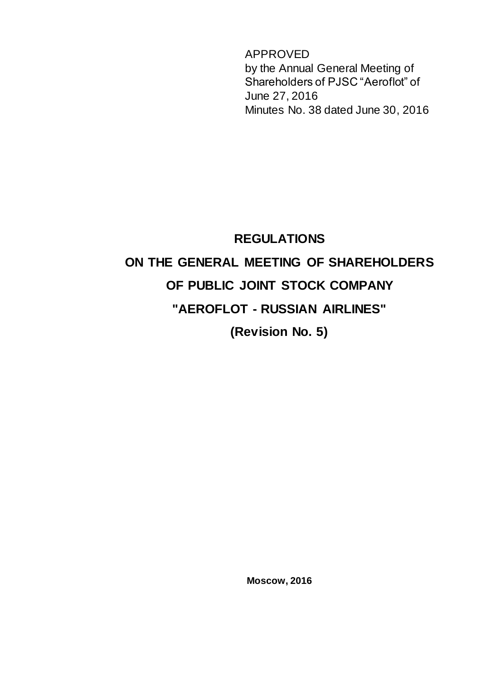APPROVED by the Annual General Meeting of Shareholders of PJSC "Aeroflot" of June 27, 2016 Minutes No. 38 dated June 30, 2016

# **REGULATIONS ON THE GENERAL MEETING OF SHAREHOLDERS OF PUBLIC JOINT STOCK COMPANY "AEROFLOT - RUSSIAN AIRLINES" (Revision No. 5)**

**Moscow, 2016**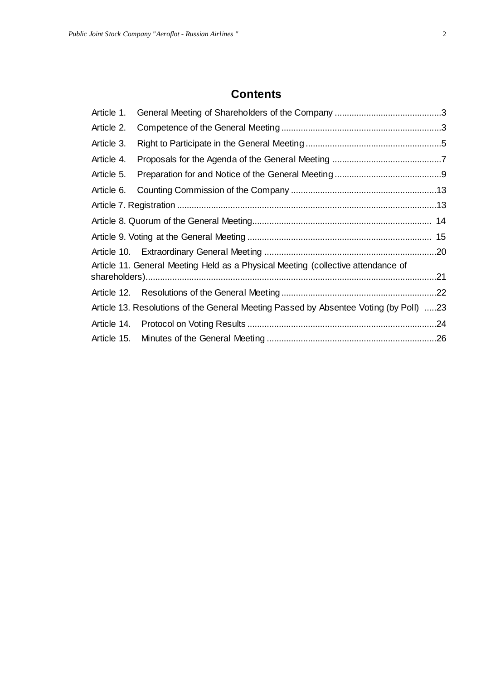# **Contents**

| Article 1.                                                                            |                                                                                  |     |
|---------------------------------------------------------------------------------------|----------------------------------------------------------------------------------|-----|
| Article 2.                                                                            |                                                                                  |     |
| Article 3.                                                                            |                                                                                  |     |
| Article 4.                                                                            |                                                                                  |     |
| Article 5.                                                                            |                                                                                  |     |
| Article 6.                                                                            |                                                                                  |     |
|                                                                                       |                                                                                  |     |
|                                                                                       |                                                                                  |     |
|                                                                                       |                                                                                  |     |
|                                                                                       |                                                                                  |     |
|                                                                                       | Article 11. General Meeting Held as a Physical Meeting (collective attendance of |     |
|                                                                                       |                                                                                  | .21 |
|                                                                                       |                                                                                  |     |
| Article 13. Resolutions of the General Meeting Passed by Absentee Voting (by Poll) 23 |                                                                                  |     |
|                                                                                       |                                                                                  |     |
|                                                                                       |                                                                                  |     |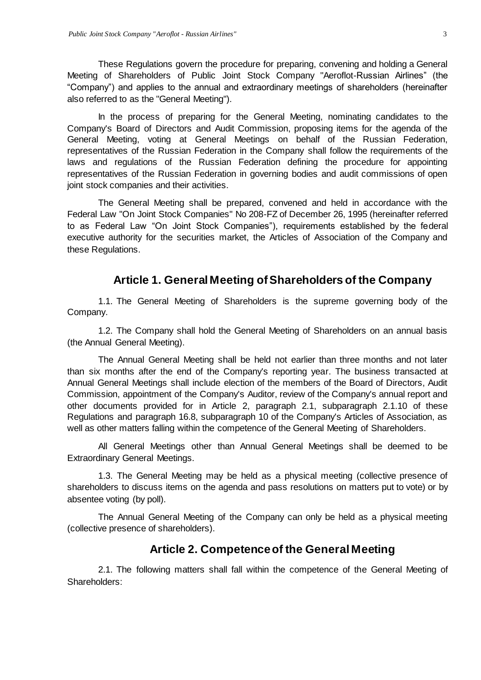These Regulations govern the procedure for preparing, convening and holding a General Meeting of Shareholders of Public Joint Stock Company "Aeroflot-Russian Airlines" (the "Company") and applies to the annual and extraordinary meetings of shareholders (hereinafter also referred to as the "General Meeting").

In the process of preparing for the General Meeting, nominating candidates to the Company's Board of Directors and Audit Commission, proposing items for the agenda of the General Meeting, voting at General Meetings on behalf of the Russian Federation, representatives of the Russian Federation in the Company shall follow the requirements of the laws and regulations of the Russian Federation defining the procedure for appointing representatives of the Russian Federation in governing bodies and audit commissions of open joint stock companies and their activities.

The General Meeting shall be prepared, convened and held in accordance with the Federal Law "On Joint Stock Companies" No 208-FZ of December 26, 1995 (hereinafter referred to as Federal Law "On Joint Stock Companies"), requirements established by the federal executive authority for the securities market, the Articles of Association of the Company and these Regulations.

## **Article 1. General Meeting of Shareholders of the Company**

<span id="page-2-0"></span>1.1. The General Meeting of Shareholders is the supreme governing body of the Company.

1.2. The Company shall hold the General Meeting of Shareholders on an annual basis (the Annual General Meeting).

The Annual General Meeting shall be held not earlier than three months and not later than six months after the end of the Company's reporting year. The business transacted at Annual General Meetings shall include election of the members of the Board of Directors, Audit Commission, appointment of the Company's Auditor, review of the Company's annual report and other documents provided for in Article 2, paragraph 2.1, subparagraph 2.1.10 of these Regulations and paragraph 16.8, subparagraph 10 of the Company's Articles of Association, as well as other matters falling within the competence of the General Meeting of Shareholders.

All General Meetings other than Annual General Meetings shall be deemed to be Extraordinary General Meetings.

1.3. The General Meeting may be held as a physical meeting (collective presence of shareholders to discuss items on the agenda and pass resolutions on matters put to vote) or by absentee voting (by poll).

The Annual General Meeting of the Company can only be held as a physical meeting (collective presence of shareholders).

## **Article 2. Competence of the General Meeting**

<span id="page-2-1"></span>2.1. The following matters shall fall within the competence of the General Meeting of Shareholders: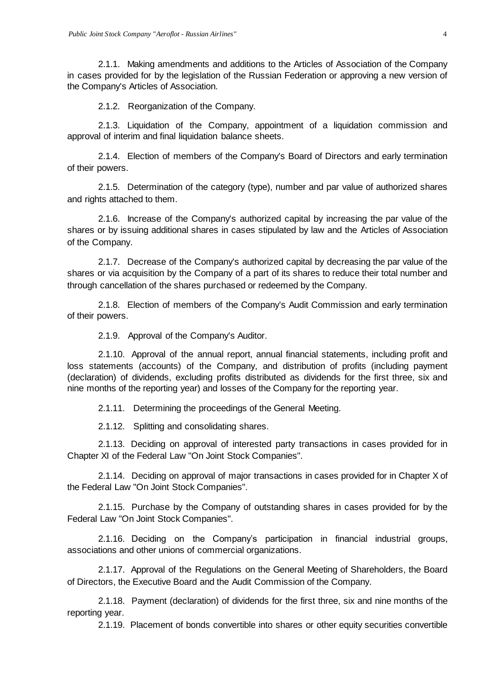2.1.1. Making amendments and additions to the Articles of Association of the Company in cases provided for by the legislation of the Russian Federation or approving a new version of the Company's Articles of Association.

2.1.2. Reorganization of the Company.

2.1.3. Liquidation of the Company, appointment of a liquidation commission and approval of interim and final liquidation balance sheets.

2.1.4. Election of members of the Company's Board of Directors and early termination of their powers.

2.1.5. Determination of the category (type), number and par value of authorized shares and rights attached to them.

2.1.6. Increase of the Company's authorized capital by increasing the par value of the shares or by issuing additional shares in cases stipulated by law and the Articles of Association of the Company.

2.1.7. Decrease of the Company's authorized capital by decreasing the par value of the shares or via acquisition by the Company of a part of its shares to reduce their total number and through cancellation of the shares purchased or redeemed by the Company.

2.1.8. Election of members of the Company's Audit Commission and early termination of their powers.

2.1.9. Approval of the Company's Auditor.

2.1.10. Approval of the annual report, annual financial statements, including profit and loss statements (accounts) of the Company, and distribution of profits (including payment (declaration) of dividends, excluding profits distributed as dividends for the first three, six and nine months of the reporting year) and losses of the Company for the reporting year.

2.1.11. Determining the proceedings of the General Meeting.

2.1.12. Splitting and consolidating shares.

2.1.13. Deciding on approval of interested party transactions in cases provided for in Chapter XI of the Federal Law "On Joint Stock Companies".

2.1.14. Deciding on approval of major transactions in cases provided for in Chapter X of the Federal Law "On Joint Stock Companies".

2.1.15. Purchase by the Company of outstanding shares in cases provided for by the Federal Law "On Joint Stock Companies".

2.1.16. Deciding on the Company's participation in financial industrial groups, associations and other unions of commercial organizations.

2.1.17. Approval of the Regulations on the General Meeting of Shareholders, the Board of Directors, the Executive Board and the Audit Commission of the Company.

2.1.18. Payment (declaration) of dividends for the first three, six and nine months of the reporting year.

2.1.19. Placement of bonds convertible into shares or other equity securities convertible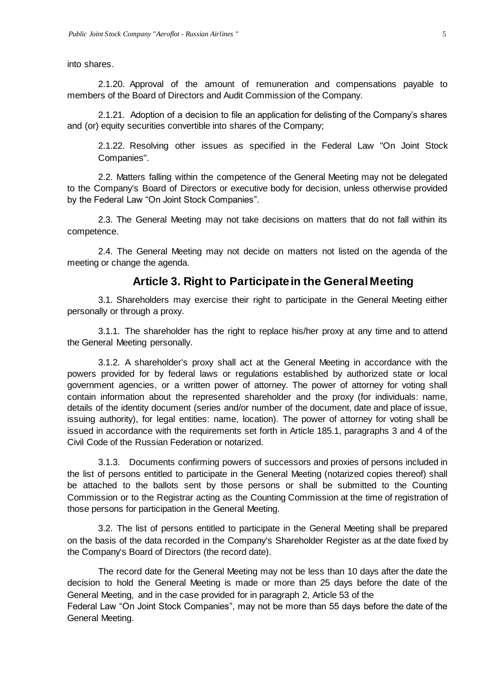into shares.

2.1.20. Approval of the amount of remuneration and compensations payable to members of the Board of Directors and Audit Commission of the Company.

2.1.21. Adoption of a decision to file an application for delisting of the Company's shares and (or) equity securities convertible into shares of the Company;

2.1.22. Resolving other issues as specified in the Federal Law "On Joint Stock Companies".

2.2. Matters falling within the competence of the General Meeting may not be delegated to the Company's Board of Directors or executive body for decision, unless otherwise provided by the Federal Law "On Joint Stock Companies".

2.3. The General Meeting may not take decisions on matters that do not fall within its competence.

2.4. The General Meeting may not decide on matters not listed on the agenda of the meeting or change the agenda.

#### **Article 3. Right to Participate in the General Meeting**

<span id="page-4-0"></span>3.1. Shareholders may exercise their right to participate in the General Meeting either personally or through a proxy.

3.1.1. The shareholder has the right to replace his/her proxy at any time and to attend the General Meeting personally.

3.1.2. A shareholder's proxy shall act at the General Meeting in accordance with the powers provided for by federal laws or regulations established by authorized state or local government agencies, or a written power of attorney. The power of attorney for voting shall contain information about the represented shareholder and the proxy (for individuals: name, details of the identity document (series and/or number of the document, date and place of issue, issuing authority), for legal entities: name, location). The power of attorney for voting shall be issued in accordance with the requirements set forth in Article 185.1, paragraphs 3 and 4 of the Civil Code of the Russian Federation or notarized.

3.1.3. Documents confirming powers of successors and proxies of persons included in the list of persons entitled to participate in the General Meeting (notarized copies thereof) shall be attached to the ballots sent by those persons or shall be submitted to the Counting Commission or to the Registrar acting as the Counting Commission at the time of registration of those persons for participation in the General Meeting.

3.2. The list of persons entitled to participate in the General Meeting shall be prepared on the basis of the data recorded in the Company's Shareholder Register as at the date fixed by the Company's Board of Directors (the record date).

The record date for the General Meeting may not be less than 10 days after the date the decision to hold the General Meeting is made or more than 25 days before the date of the General Meeting, and in the case provided for in paragraph 2, Article 53 of the Federal Law "On Joint Stock Companies", may not be more than 55 days before the date of the General Meeting.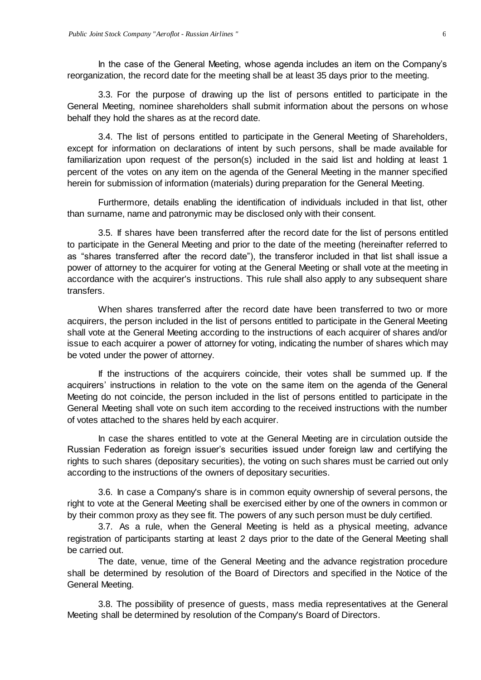In the case of the General Meeting, whose agenda includes an item on the Company's reorganization, the record date for the meeting shall be at least 35 days prior to the meeting.

3.3. For the purpose of drawing up the list of persons entitled to participate in the General Meeting, nominee shareholders shall submit information about the persons on whose behalf they hold the shares as at the record date.

3.4. The list of persons entitled to participate in the General Meeting of Shareholders, except for information on declarations of intent by such persons, shall be made available for familiarization upon request of the person(s) included in the said list and holding at least 1 percent of the votes on any item on the agenda of the General Meeting in the manner specified herein for submission of information (materials) during preparation for the General Meeting.

Furthermore, details enabling the identification of individuals included in that list, other than surname, name and patronymic may be disclosed only with their consent.

3.5. If shares have been transferred after the record date for the list of persons entitled to participate in the General Meeting and prior to the date of the meeting (hereinafter referred to as "shares transferred after the record date"), the transferor included in that list shall issue a power of attorney to the acquirer for voting at the General Meeting or shall vote at the meeting in accordance with the acquirer's instructions. This rule shall also apply to any subsequent share transfers.

When shares transferred after the record date have been transferred to two or more acquirers, the person included in the list of persons entitled to participate in the General Meeting shall vote at the General Meeting according to the instructions of each acquirer of shares and/or issue to each acquirer a power of attorney for voting, indicating the number of shares which may be voted under the power of attorney.

If the instructions of the acquirers coincide, their votes shall be summed up. If the acquirers' instructions in relation to the vote on the same item on the agenda of the General Meeting do not coincide, the person included in the list of persons entitled to participate in the General Meeting shall vote on such item according to the received instructions with the number of votes attached to the shares held by each acquirer.

In case the shares entitled to vote at the General Meeting are in circulation outside the Russian Federation as foreign issuer's securities issued under foreign law and certifying the rights to such shares (depositary securities), the voting on such shares must be carried out only according to the instructions of the owners of depositary securities.

3.6. In case a Company's share is in common equity ownership of several persons, the right to vote at the General Meeting shall be exercised either by one of the owners in common or by their common proxy as they see fit. The powers of any such person must be duly certified.

3.7. As a rule, when the General Meeting is held as a physical meeting, advance registration of participants starting at least 2 days prior to the date of the General Meeting shall be carried out.

The date, venue, time of the General Meeting and the advance registration procedure shall be determined by resolution of the Board of Directors and specified in the Notice of the General Meeting.

3.8. The possibility of presence of guests, mass media representatives at the General Meeting shall be determined by resolution of the Company's Board of Directors.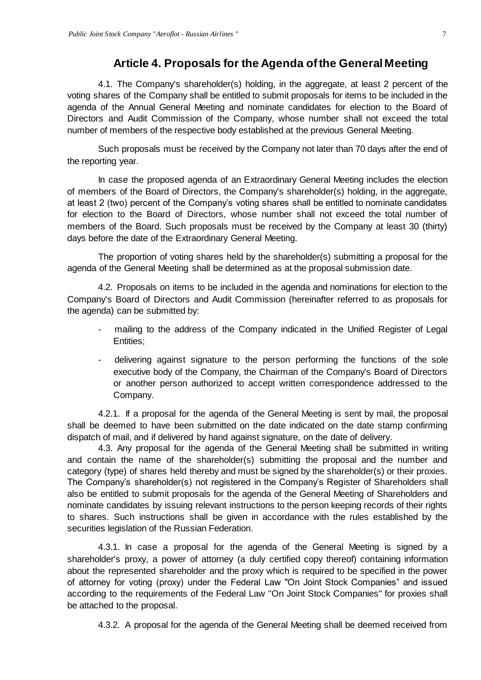## **Article 4. Proposals for the Agenda of the General Meeting**

<span id="page-6-0"></span>4.1. The Company's shareholder(s) holding, in the aggregate, at least 2 percent of the voting shares of the Company shall be entitled to submit proposals for items to be included in the agenda of the Annual General Meeting and nominate candidates for election to the Board of Directors and Audit Commission of the Company, whose number shall not exceed the total number of members of the respective body established at the previous General Meeting.

Such proposals must be received by the Company not later than 70 days after the end of the reporting year.

In case the proposed agenda of an Extraordinary General Meeting includes the election of members of the Board of Directors, the Company's shareholder(s) holding, in the aggregate, at least 2 (two) percent of the Company's voting shares shall be entitled to nominate candidates for election to the Board of Directors, whose number shall not exceed the total number of members of the Board. Such proposals must be received by the Company at least 30 (thirty) days before the date of the Extraordinary General Meeting.

The proportion of voting shares held by the shareholder(s) submitting a proposal for the agenda of the General Meeting shall be determined as at the proposal submission date.

4.2. Proposals on items to be included in the agenda and nominations for election to the Company's Board of Directors and Audit Commission (hereinafter referred to as proposals for the agenda) can be submitted by:

- mailing to the address of the Company indicated in the Unified Register of Legal Entities;
- delivering against signature to the person performing the functions of the sole executive body of the Company, the Chairman of the Company's Board of Directors or another person authorized to accept written correspondence addressed to the Company.

4.2.1. If a proposal for the agenda of the General Meeting is sent by mail, the proposal shall be deemed to have been submitted on the date indicated on the date stamp confirming dispatch of mail, and if delivered by hand against signature, on the date of delivery.

4.3. Any proposal for the agenda of the General Meeting shall be submitted in writing and contain the name of the shareholder(s) submitting the proposal and the number and category (type) of shares held thereby and must be signed by the shareholder(s) or their proxies. The Company's shareholder(s) not registered in the Company's Register of Shareholders shall also be entitled to submit proposals for the agenda of the General Meeting of Shareholders and nominate candidates by issuing relevant instructions to the person keeping records of their rights to shares. Such instructions shall be given in accordance with the rules established by the securities legislation of the Russian Federation.

4.3.1. In case a proposal for the agenda of the General Meeting is signed by a shareholder's proxy, a power of attorney (a duly certified copy thereof) containing information about the represented shareholder and the proxy which is required to be specified in the power of attorney for voting (proxy) under the Federal Law "On Joint Stock Companies" and issued according to the requirements of the Federal Law "On Joint Stock Companies" for proxies shall be attached to the proposal.

4.3.2. A proposal for the agenda of the General Meeting shall be deemed received from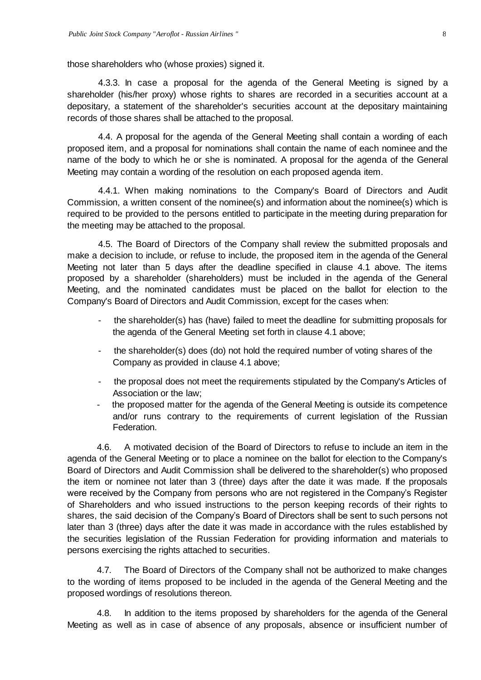those shareholders who (whose proxies) signed it.

4.3.3. In case a proposal for the agenda of the General Meeting is signed by a shareholder (his/her proxy) whose rights to shares are recorded in a securities account at a depositary, a statement of the shareholder's securities account at the depositary maintaining records of those shares shall be attached to the proposal.

4.4. A proposal for the agenda of the General Meeting shall contain a wording of each proposed item, and a proposal for nominations shall contain the name of each nominee and the name of the body to which he or she is nominated. A proposal for the agenda of the General Meeting may contain a wording of the resolution on each proposed agenda item.

4.4.1. When making nominations to the Company's Board of Directors and Audit Commission, a written consent of the nominee(s) and information about the nominee(s) which is required to be provided to the persons entitled to participate in the meeting during preparation for the meeting may be attached to the proposal.

4.5. The Board of Directors of the Company shall review the submitted proposals and make a decision to include, or refuse to include, the proposed item in the agenda of the General Meeting not later than 5 days after the deadline specified in clause 4.1 above. The items proposed by a shareholder (shareholders) must be included in the agenda of the General Meeting, and the nominated candidates must be placed on the ballot for election to the Company's Board of Directors and Audit Commission, except for the cases when:

- the shareholder(s) has (have) failed to meet the deadline for submitting proposals for the agenda of the General Meeting set forth in clause 4.1 above;
- the shareholder(s) does (do) not hold the required number of voting shares of the Company as provided in clause 4.1 above;
- the proposal does not meet the requirements stipulated by the Company's Articles of Association or the law;
- the proposed matter for the agenda of the General Meeting is outside its competence and/or runs contrary to the requirements of current legislation of the Russian Federation.

4.6. A motivated decision of the Board of Directors to refuse to include an item in the agenda of the General Meeting or to place a nominee on the ballot for election to the Company's Board of Directors and Audit Commission shall be delivered to the shareholder(s) who proposed the item or nominee not later than 3 (three) days after the date it was made. If the proposals were received by the Company from persons who are not registered in the Company's Register of Shareholders and who issued instructions to the person keeping records of their rights to shares, the said decision of the Company's Board of Directors shall be sent to such persons not later than 3 (three) days after the date it was made in accordance with the rules established by the securities legislation of the Russian Federation for providing information and materials to persons exercising the rights attached to securities.

4.7. The Board of Directors of the Company shall not be authorized to make changes to the wording of items proposed to be included in the agenda of the General Meeting and the proposed wordings of resolutions thereon.

4.8. In addition to the items proposed by shareholders for the agenda of the General Meeting as well as in case of absence of any proposals, absence or insufficient number of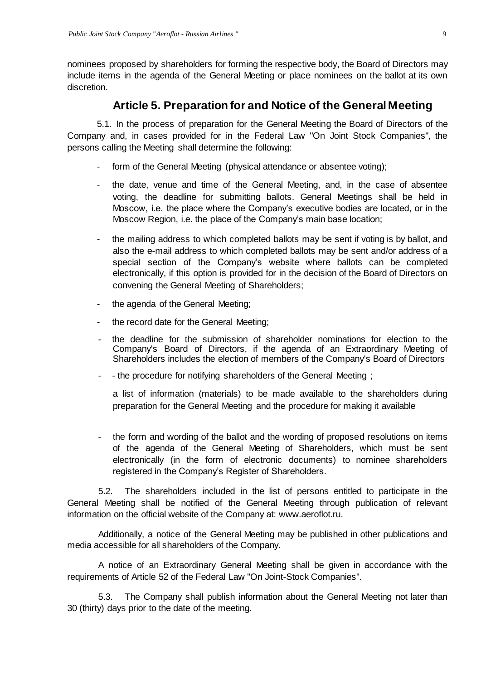nominees proposed by shareholders for forming the respective body, the Board of Directors may include items in the agenda of the General Meeting or place nominees on the ballot at its own discretion.

## **Article 5. Preparation for and Notice of the General Meeting**

<span id="page-8-0"></span>5.1. In the process of preparation for the General Meeting the Board of Directors of the Company and, in cases provided for in the Federal Law "On Joint Stock Companies", the persons calling the Meeting shall determine the following:

- form of the General Meeting (physical attendance or absentee voting);
- the date, venue and time of the General Meeting, and, in the case of absentee voting, the deadline for submitting ballots. General Meetings shall be held in Moscow, i.e. the place where the Company's executive bodies are located, or in the Moscow Region, i.e. the place of the Company's main base location;
- the mailing address to which completed ballots may be sent if voting is by ballot, and also the e-mail address to which completed ballots may be sent and/or address of a special section of the Company's website where ballots can be completed electronically, if this option is provided for in the decision of the Board of Directors on convening the General Meeting of Shareholders;
- the agenda of the General Meeting;
- the record date for the General Meeting;
- the deadline for the submission of shareholder nominations for election to the Company's Board of Directors, if the agenda of an Extraordinary Meeting of Shareholders includes the election of members of the Company's Board of Directors
- - the procedure for notifying shareholders of the General Meeting;

a list of information (materials) to be made available to the shareholders during preparation for the General Meeting and the procedure for making it available

- the form and wording of the ballot and the wording of proposed resolutions on items of the agenda of the General Meeting of Shareholders, which must be sent electronically (in the form of electronic documents) to nominee shareholders registered in the Company's Register of Shareholders.

5.2. The shareholders included in the list of persons entitled to participate in the General Meeting shall be notified of the General Meeting through publication of relevant information on the official website of the Company at: [www.aeroflot.ru.](http://www.aeroflot.ru/)

Additionally, a notice of the General Meeting may be published in other publications and media accessible for all shareholders of the Company.

A notice of an Extraordinary General Meeting shall be given in accordance with the requirements of Article 52 of the Federal Law "On Joint-Stock Companies".

5.3. The Company shall publish information about the General Meeting not later than 30 (thirty) days prior to the date of the meeting.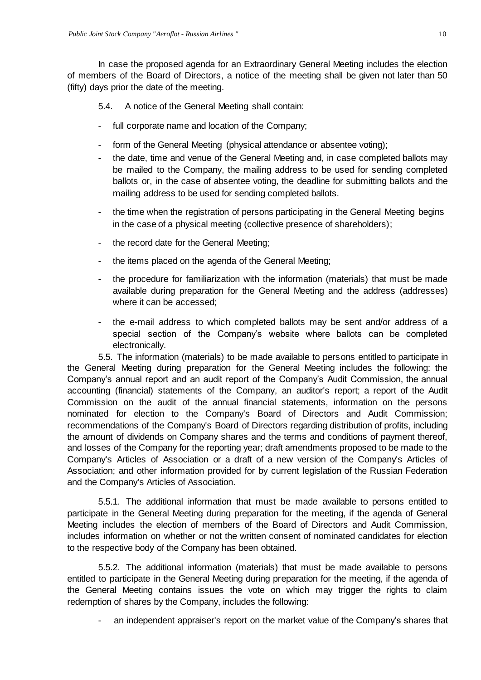In case the proposed agenda for an Extraordinary General Meeting includes the election of members of the Board of Directors, a notice of the meeting shall be given not later than 50 (fifty) days prior the date of the meeting.

5.4. A notice of the General Meeting shall contain:

- full corporate name and location of the Company;
- form of the General Meeting (physical attendance or absentee voting);
- the date, time and venue of the General Meeting and, in case completed ballots may be mailed to the Company, the mailing address to be used for sending completed ballots or, in the case of absentee voting, the deadline for submitting ballots and the mailing address to be used for sending completed ballots.
- the time when the registration of persons participating in the General Meeting begins in the case of a physical meeting (collective presence of shareholders);
- the record date for the General Meeting;
- the items placed on the agenda of the General Meeting;
- the procedure for familiarization with the information (materials) that must be made available during preparation for the General Meeting and the address (addresses) where it can be accessed;
- the e-mail address to which completed ballots may be sent and/or address of a special section of the Company's website where ballots can be completed electronically.

5.5. The information (materials) to be made available to persons entitled to participate in the General Meeting during preparation for the General Meeting includes the following: the Company's annual report and an audit report of the Company's Audit Commission, the annual accounting (financial) statements of the Company, an auditor's report; a report of the Audit Commission on the audit of the annual financial statements, information on the persons nominated for election to the Company's Board of Directors and Audit Commission; recommendations of the Company's Board of Directors regarding distribution of profits, including the amount of dividends on Company shares and the terms and conditions of payment thereof, and losses of the Company for the reporting year; draft amendments proposed to be made to the Company's Articles of Association or a draft of a new version of the Company's Articles of Association; and other information provided for by current legislation of the Russian Federation and the Company's Articles of Association.

5.5.1. The additional information that must be made available to persons entitled to participate in the General Meeting during preparation for the meeting, if the agenda of General Meeting includes the election of members of the Board of Directors and Audit Commission, includes information on whether or not the written consent of nominated candidates for election to the respective body of the Company has been obtained.

5.5.2. The additional information (materials) that must be made available to persons entitled to participate in the General Meeting during preparation for the meeting, if the agenda of the General Meeting contains issues the vote on which may trigger the rights to claim redemption of shares by the Company, includes the following:

an independent appraiser's report on the market value of the Company's shares that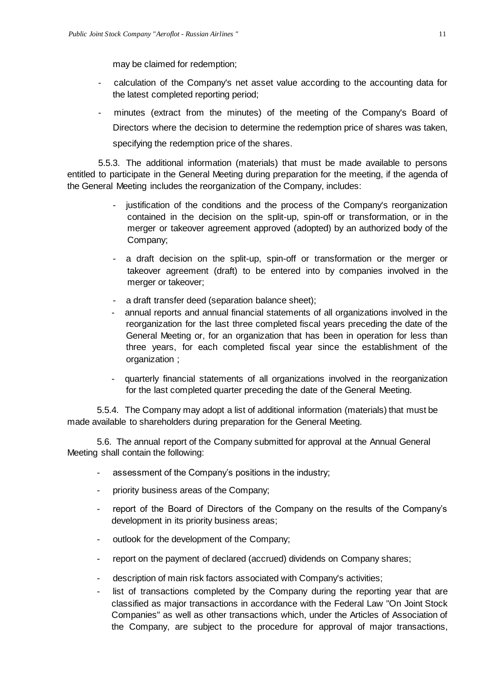may be claimed for redemption;

- calculation of the Company's net asset value according to the accounting data for the latest completed reporting period;
- minutes (extract from the minutes) of the meeting of the Company's Board of Directors where the decision to determine the redemption price of shares was taken, specifying the redemption price of the shares.

5.5.3. The additional information (materials) that must be made available to persons entitled to participate in the General Meeting during preparation for the meeting, if the agenda of the General Meeting includes the reorganization of the Company, includes:

- justification of the conditions and the process of the Company's reorganization contained in the decision on the split-up, spin-off or transformation, or in the merger or takeover agreement approved (adopted) by an authorized body of the Company;
- a draft decision on the split-up, spin-off or transformation or the merger or takeover agreement (draft) to be entered into by companies involved in the merger or takeover;
- a draft transfer deed (separation balance sheet);
- annual reports and annual financial statements of all organizations involved in the reorganization for the last three completed fiscal years preceding the date of the General Meeting or, for an organization that has been in operation for less than three years, for each completed fiscal year since the establishment of the organization ;
- quarterly financial statements of all organizations involved in the reorganization for the last completed quarter preceding the date of the General Meeting.

5.5.4. The Company may adopt a list of additional information (materials) that must be made available to shareholders during preparation for the General Meeting.

5.6. The annual report of the Company submitted for approval at the Annual General Meeting shall contain the following:

- assessment of the Company's positions in the industry;
- priority business areas of the Company;
- report of the Board of Directors of the Company on the results of the Company's development in its priority business areas;
- outlook for the development of the Company;
- report on the payment of declared (accrued) dividends on Company shares;
- description of main risk factors associated with Company's activities;
- list of transactions completed by the Company during the reporting year that are classified as major transactions in accordance with the Federal Law "On Joint Stock Companies" as well as other transactions which, under the Articles of Association of the Company, are subject to the procedure for approval of major transactions,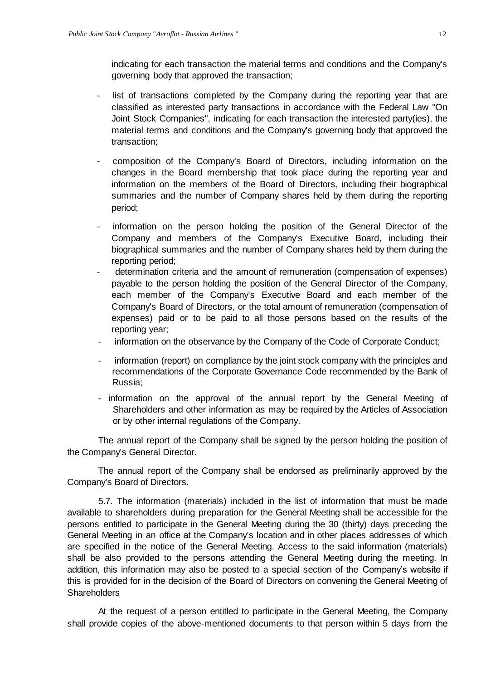indicating for each transaction the material terms and conditions and the Company's governing body that approved the transaction;

- list of transactions completed by the Company during the reporting year that are classified as interested party transactions in accordance with the Federal Law "On Joint Stock Companies", indicating for each transaction the interested party(ies), the material terms and conditions and the Company's governing body that approved the transaction;
- composition of the Company's Board of Directors, including information on the changes in the Board membership that took place during the reporting year and information on the members of the Board of Directors, including their biographical summaries and the number of Company shares held by them during the reporting period;
- information on the person holding the position of the General Director of the Company and members of the Company's Executive Board, including their biographical summaries and the number of Company shares held by them during the reporting period;
- determination criteria and the amount of remuneration (compensation of expenses) payable to the person holding the position of the General Director of the Company, each member of the Company's Executive Board and each member of the Company's Board of Directors, or the total amount of remuneration (compensation of expenses) paid or to be paid to all those persons based on the results of the reporting year;
- information on the observance by the Company of the Code of Corporate Conduct;
- information (report) on compliance by the joint stock company with the principles and recommendations of the Corporate Governance Code recommended by the Bank of Russia;
- information on the approval of the annual report by the General Meeting of Shareholders and other information as may be required by the Articles of Association or by other internal regulations of the Company.

The annual report of the Company shall be signed by the person holding the position of the Company's General Director.

The annual report of the Company shall be endorsed as preliminarily approved by the Company's Board of Directors.

5.7. The information (materials) included in the list of information that must be made available to shareholders during preparation for the General Meeting shall be accessible for the persons entitled to participate in the General Meeting during the 30 (thirty) days preceding the General Meeting in an office at the Company's location and in other places addresses of which are specified in the notice of the General Meeting. Access to the said information (materials) shall be also provided to the persons attending the General Meeting during the meeting. In addition, this information may also be posted to a special section of the Company's website if this is provided for in the decision of the Board of Directors on convening the General Meeting of **Shareholders** 

At the request of a person entitled to participate in the General Meeting, the Company shall provide copies of the above-mentioned documents to that person within 5 days from the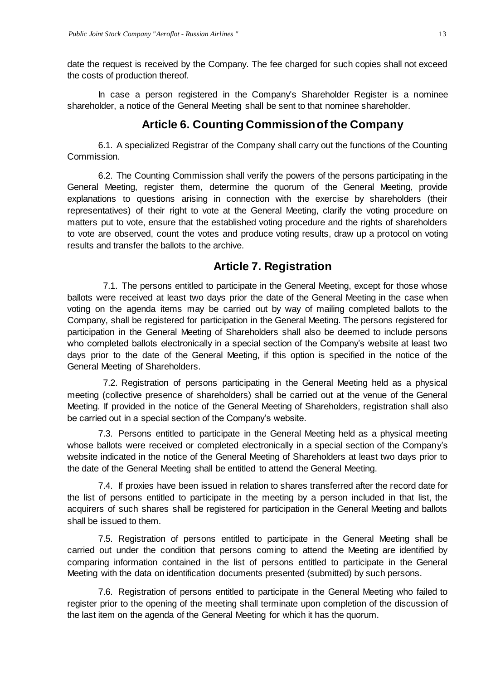date the request is received by the Company. The fee charged for such copies shall not exceed the costs of production thereof.

In case a person registered in the Company's Shareholder Register is a nominee shareholder, a notice of the General Meeting shall be sent to that nominee shareholder.

#### **Article 6. Counting Commission of the Company**

<span id="page-12-0"></span>6.1. A specialized Registrar of the Company shall carry out the functions of the Counting Commission.

6.2. The Counting Commission shall verify the powers of the persons participating in the General Meeting, register them, determine the quorum of the General Meeting, provide explanations to questions arising in connection with the exercise by shareholders (their representatives) of their right to vote at the General Meeting, clarify the voting procedure on matters put to vote, ensure that the established voting procedure and the rights of shareholders to vote are observed, count the votes and produce voting results, draw up a protocol on voting results and transfer the ballots to the archive.

#### **Article 7. Registration**

<span id="page-12-1"></span>7.1. The persons entitled to participate in the General Meeting, except for those whose ballots were received at least two days prior the date of the General Meeting in the case when voting on the agenda items may be carried out by way of mailing completed ballots to the Company, shall be registered for participation in the General Meeting. The persons registered for participation in the General Meeting of Shareholders shall also be deemed to include persons who completed ballots electronically in a special section of the Company's website at least two days prior to the date of the General Meeting, if this option is specified in the notice of the General Meeting of Shareholders.

7.2. Registration of persons participating in the General Meeting held as a physical meeting (collective presence of shareholders) shall be carried out at the venue of the General Meeting. If provided in the notice of the General Meeting of Shareholders, registration shall also be carried out in a special section of the Company's website.

7.3. Persons entitled to participate in the General Meeting held as a physical meeting whose ballots were received or completed electronically in a special section of the Company's website indicated in the notice of the General Meeting of Shareholders at least two days prior to the date of the General Meeting shall be entitled to attend the General Meeting.

7.4. If proxies have been issued in relation to shares transferred after the record date for the list of persons entitled to participate in the meeting by a person included in that list, the acquirers of such shares shall be registered for participation in the General Meeting and ballots shall be issued to them.

7.5. Registration of persons entitled to participate in the General Meeting shall be carried out under the condition that persons coming to attend the Meeting are identified by comparing information contained in the list of persons entitled to participate in the General Meeting with the data on identification documents presented (submitted) by such persons.

7.6. Registration of persons entitled to participate in the General Meeting who failed to register prior to the opening of the meeting shall terminate upon completion of the discussion of the last item on the agenda of the General Meeting for which it has the quorum.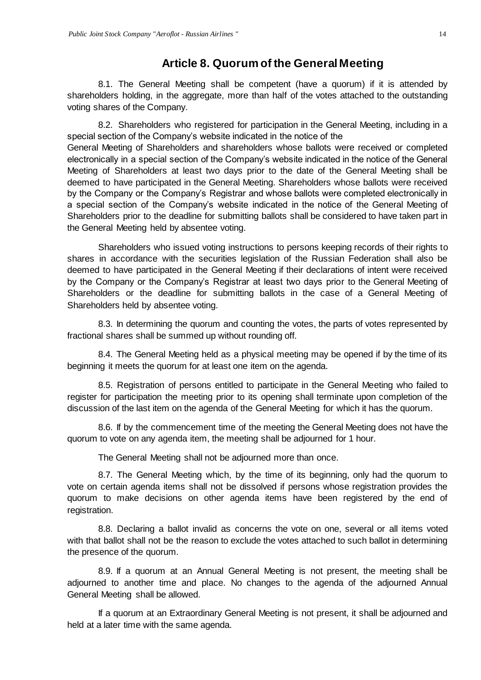#### **Article 8. Quorum of the General Meeting**

<span id="page-13-0"></span>8.1. The General Meeting shall be competent (have a quorum) if it is attended by shareholders holding, in the aggregate, more than half of the votes attached to the outstanding voting shares of the Company.

8.2. Shareholders who registered for participation in the General Meeting, including in a special section of the Company's website indicated in the notice of the

General Meeting of Shareholders and shareholders whose ballots were received or completed electronically in a special section of the Company's website indicated in the notice of the General Meeting of Shareholders at least two days prior to the date of the General Meeting shall be deemed to have participated in the General Meeting. Shareholders whose ballots were received by the Company or the Company's Registrar and whose ballots were completed electronically in a special section of the Company's website indicated in the notice of the General Meeting of Shareholders prior to the deadline for submitting ballots shall be considered to have taken part in the General Meeting held by absentee voting.

Shareholders who issued voting instructions to persons keeping records of their rights to shares in accordance with the securities legislation of the Russian Federation shall also be deemed to have participated in the General Meeting if their declarations of intent were received by the Company or the Company's Registrar at least two days prior to the General Meeting of Shareholders or the deadline for submitting ballots in the case of a General Meeting of Shareholders held by absentee voting.

8.3. In determining the quorum and counting the votes, the parts of votes represented by fractional shares shall be summed up without rounding off.

8.4. The General Meeting held as a physical meeting may be opened if by the time of its beginning it meets the quorum for at least one item on the agenda.

8.5. Registration of persons entitled to participate in the General Meeting who failed to register for participation the meeting prior to its opening shall terminate upon completion of the discussion of the last item on the agenda of the General Meeting for which it has the quorum.

8.6. If by the commencement time of the meeting the General Meeting does not have the quorum to vote on any agenda item, the meeting shall be adjourned for 1 hour.

The General Meeting shall not be adjourned more than once.

8.7. The General Meeting which, by the time of its beginning, only had the quorum to vote on certain agenda items shall not be dissolved if persons whose registration provides the quorum to make decisions on other agenda items have been registered by the end of registration.

8.8. Declaring a ballot invalid as concerns the vote on one, several or all items voted with that ballot shall not be the reason to exclude the votes attached to such ballot in determining the presence of the quorum.

8.9. If a quorum at an Annual General Meeting is not present, the meeting shall be adjourned to another time and place. No changes to the agenda of the adjourned Annual General Meeting shall be allowed.

If a quorum at an Extraordinary General Meeting is not present, it shall be adjourned and held at a later time with the same agenda.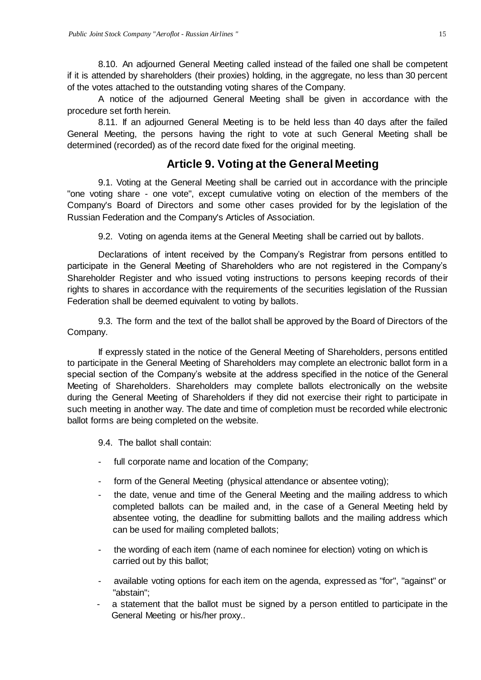8.10. An adjourned General Meeting called instead of the failed one shall be competent if it is attended by shareholders (their proxies) holding, in the aggregate, no less than 30 percent of the votes attached to the outstanding voting shares of the Company.

A notice of the adjourned General Meeting shall be given in accordance with the procedure set forth herein.

8.11. If an adjourned General Meeting is to be held less than 40 days after the failed General Meeting, the persons having the right to vote at such General Meeting shall be determined (recorded) as of the record date fixed for the original meeting.

## **Article 9. Voting at the General Meeting**

<span id="page-14-0"></span>9.1. Voting at the General Meeting shall be carried out in accordance with the principle "one voting share - one vote", except cumulative voting on election of the members of the Company's Board of Directors and some other cases provided for by the legislation of the Russian Federation and the Company's Articles of Association.

9.2. Voting on agenda items at the General Meeting shall be carried out by ballots.

Declarations of intent received by the Company's Registrar from persons entitled to participate in the General Meeting of Shareholders who are not registered in the Company's Shareholder Register and who issued voting instructions to persons keeping records of their rights to shares in accordance with the requirements of the securities legislation of the Russian Federation shall be deemed equivalent to voting by ballots.

9.3. The form and the text of the ballot shall be approved by the Board of Directors of the Company.

If expressly stated in the notice of the General Meeting of Shareholders, persons entitled to participate in the General Meeting of Shareholders may complete an electronic ballot form in a special section of the Company's website at the address specified in the notice of the General Meeting of Shareholders. Shareholders may complete ballots electronically on the website during the General Meeting of Shareholders if they did not exercise their right to participate in such meeting in another way. The date and time of completion must be recorded while electronic ballot forms are being completed on the website.

9.4. The ballot shall contain:

- full corporate name and location of the Company;
- form of the General Meeting (physical attendance or absentee voting);
- the date, venue and time of the General Meeting and the mailing address to which completed ballots can be mailed and, in the case of a General Meeting held by absentee voting, the deadline for submitting ballots and the mailing address which can be used for mailing completed ballots;
- the wording of each item (name of each nominee for election) voting on which is carried out by this ballot;
- available voting options for each item on the agenda, expressed as "for", "against" or "abstain";
- a statement that the ballot must be signed by a person entitled to participate in the General Meeting or his/her proxy..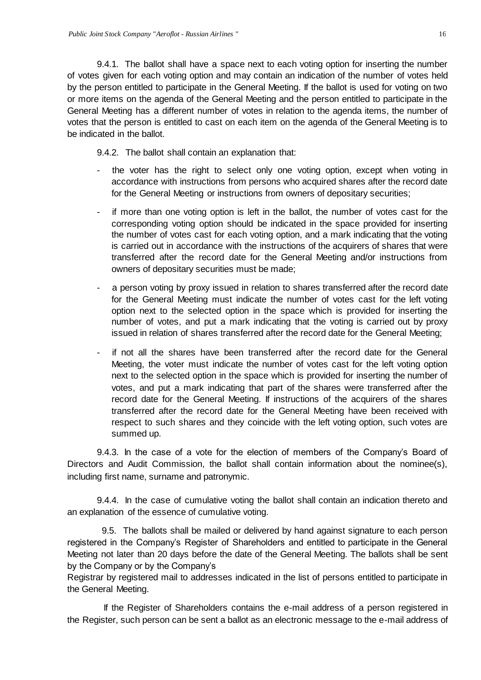9.4.1. The ballot shall have a space next to each voting option for inserting the number of votes given for each voting option and may contain an indication of the number of votes held by the person entitled to participate in the General Meeting. If the ballot is used for voting on two or more items on the agenda of the General Meeting and the person entitled to participate in the General Meeting has a different number of votes in relation to the agenda items, the number of votes that the person is entitled to cast on each item on the agenda of the General Meeting is to be indicated in the ballot.

9.4.2. The ballot shall contain an explanation that:

- the voter has the right to select only one voting option, except when voting in accordance with instructions from persons who acquired shares after the record date for the General Meeting or instructions from owners of depositary securities;
- if more than one voting option is left in the ballot, the number of votes cast for the corresponding voting option should be indicated in the space provided for inserting the number of votes cast for each voting option, and a mark indicating that the voting is carried out in accordance with the instructions of the acquirers of shares that were transferred after the record date for the General Meeting and/or instructions from owners of depositary securities must be made;
- a person voting by proxy issued in relation to shares transferred after the record date for the General Meeting must indicate the number of votes cast for the left voting option next to the selected option in the space which is provided for inserting the number of votes, and put a mark indicating that the voting is carried out by proxy issued in relation of shares transferred after the record date for the General Meeting;
- if not all the shares have been transferred after the record date for the General Meeting, the voter must indicate the number of votes cast for the left voting option next to the selected option in the space which is provided for inserting the number of votes, and put a mark indicating that part of the shares were transferred after the record date for the General Meeting. If instructions of the acquirers of the shares transferred after the record date for the General Meeting have been received with respect to such shares and they coincide with the left voting option, such votes are summed up.

9.4.3. In the case of a vote for the election of members of the Company's Board of Directors and Audit Commission, the ballot shall contain information about the nominee(s), including first name, surname and patronymic.

9.4.4. In the case of cumulative voting the ballot shall contain an indication thereto and an explanation of the essence of cumulative voting.

9.5. The ballots shall be mailed or delivered by hand against signature to each person registered in the Company's Register of Shareholders and entitled to participate in the General Meeting not later than 20 days before the date of the General Meeting. The ballots shall be sent by the Company or by the Company's

Registrar by registered mail to addresses indicated in the list of persons entitled to participate in the General Meeting.

If the Register of Shareholders contains the e-mail address of a person registered in the Register, such person can be sent a ballot as an electronic message to the e-mail address of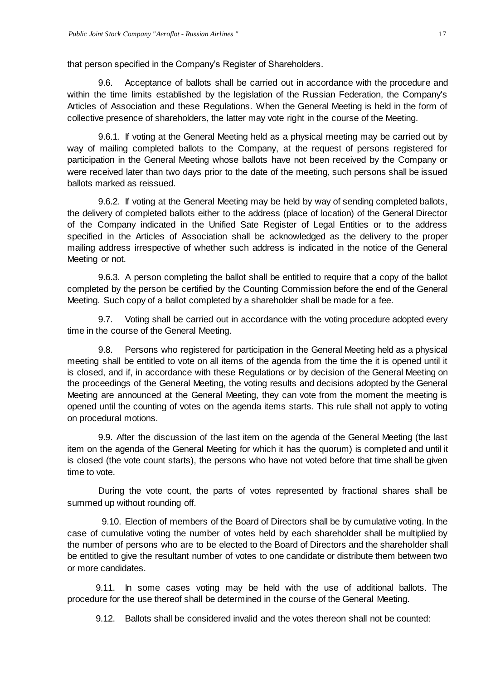that person specified in the Company's Register of Shareholders.

9.6. Acceptance of ballots shall be carried out in accordance with the procedure and within the time limits established by the legislation of the Russian Federation, the Company's Articles of Association and these Regulations. When the General Meeting is held in the form of collective presence of shareholders, the latter may vote right in the course of the Meeting.

9.6.1. If voting at the General Meeting held as a physical meeting may be carried out by way of mailing completed ballots to the Company, at the request of persons registered for participation in the General Meeting whose ballots have not been received by the Company or were received later than two days prior to the date of the meeting, such persons shall be issued ballots marked as reissued.

9.6.2. If voting at the General Meeting may be held by way of sending completed ballots, the delivery of completed ballots either to the address (place of location) of the General Director of the Company indicated in the Unified Sate Register of Legal Entities or to the address specified in the Articles of Association shall be acknowledged as the delivery to the proper mailing address irrespective of whether such address is indicated in the notice of the General Meeting or not.

9.6.3. A person completing the ballot shall be entitled to require that a copy of the ballot completed by the person be certified by the Counting Commission before the end of the General Meeting. Such copy of a ballot completed by a shareholder shall be made for a fee.

9.7. Voting shall be carried out in accordance with the voting procedure adopted every time in the course of the General Meeting.

9.8. Persons who registered for participation in the General Meeting held as a physical meeting shall be entitled to vote on all items of the agenda from the time the it is opened until it is closed, and if, in accordance with these Regulations or by decision of the General Meeting on the proceedings of the General Meeting, the voting results and decisions adopted by the General Meeting are announced at the General Meeting, they can vote from the moment the meeting is opened until the counting of votes on the agenda items starts. This rule shall not apply to voting on procedural motions.

9.9. After the discussion of the last item on the agenda of the General Meeting (the last item on the agenda of the General Meeting for which it has the quorum) is completed and until it is closed (the vote count starts), the persons who have not voted before that time shall be given time to vote.

During the vote count, the parts of votes represented by fractional shares shall be summed up without rounding off.

9.10. Election of members of the Board of Directors shall be by cumulative voting. In the case of cumulative voting the number of votes held by each shareholder shall be multiplied by the number of persons who are to be elected to the Board of Directors and the shareholder shall be entitled to give the resultant number of votes to one candidate or distribute them between two or more candidates.

9.11. In some cases voting may be held with the use of additional ballots. The procedure for the use thereof shall be determined in the course of the General Meeting.

9.12. Ballots shall be considered invalid and the votes thereon shall not be counted: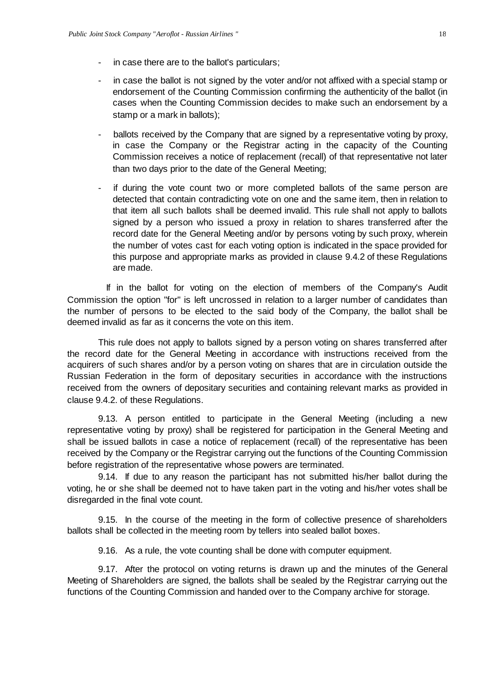- in case there are to the ballot's particulars;
- in case the ballot is not signed by the voter and/or not affixed with a special stamp or endorsement of the Counting Commission confirming the authenticity of the ballot (in cases when the Counting Commission decides to make such an endorsement by a stamp or a mark in ballots);
- ballots received by the Company that are signed by a representative voting by proxy, in case the Company or the Registrar acting in the capacity of the Counting Commission receives a notice of replacement (recall) of that representative not later than two days prior to the date of the General Meeting;
- if during the vote count two or more completed ballots of the same person are detected that contain contradicting vote on one and the same item, then in relation to that item all such ballots shall be deemed invalid. This rule shall not apply to ballots signed by a person who issued a proxy in relation to shares transferred after the record date for the General Meeting and/or by persons voting by such proxy, wherein the number of votes cast for each voting option is indicated in the space provided for this purpose and appropriate marks as provided in clause 9.4.2 of these Regulations are made.

If in the ballot for voting on the election of members of the Company's Audit Commission the option "for" is left uncrossed in relation to a larger number of candidates than the number of persons to be elected to the said body of the Company, the ballot shall be deemed invalid as far as it concerns the vote on this item.

This rule does not apply to ballots signed by a person voting on shares transferred after the record date for the General Meeting in accordance with instructions received from the acquirers of such shares and/or by a person voting on shares that are in circulation outside the Russian Federation in the form of depositary securities in accordance with the instructions received from the owners of depositary securities and containing relevant marks as provided in clause 9.4.2. of these Regulations.

9.13. A person entitled to participate in the General Meeting (including a new representative voting by proxy) shall be registered for participation in the General Meeting and shall be issued ballots in case a notice of replacement (recall) of the representative has been received by the Company or the Registrar carrying out the functions of the Counting Commission before registration of the representative whose powers are terminated.

9.14. If due to any reason the participant has not submitted his/her ballot during the voting, he or she shall be deemed not to have taken part in the voting and his/her votes shall be disregarded in the final vote count.

9.15. In the course of the meeting in the form of collective presence of shareholders ballots shall be collected in the meeting room by tellers into sealed ballot boxes.

9.16. As a rule, the vote counting shall be done with computer equipment.

9.17. After the protocol on voting returns is drawn up and the minutes of the General Meeting of Shareholders are signed, the ballots shall be sealed by the Registrar carrying out the functions of the Counting Commission and handed over to the Company archive for storage.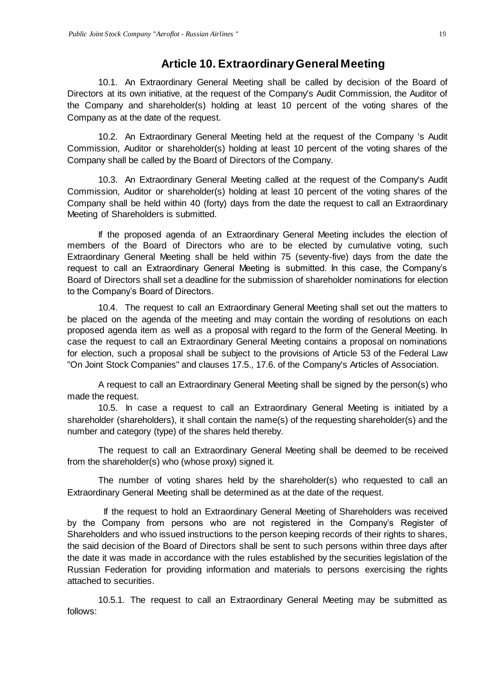#### **Article 10. Extraordinary General Meeting**

<span id="page-18-0"></span>10.1. An Extraordinary General Meeting shall be called by decision of the Board of Directors at its own initiative, at the request of the Company's Audit Commission, the Auditor of the Company and shareholder(s) holding at least 10 percent of the voting shares of the Company as at the date of the request.

10.2. An Extraordinary General Meeting held at the request of the Company 's Audit Commission, Auditor or shareholder(s) holding at least 10 percent of the voting shares of the Company shall be called by the Board of Directors of the Company.

10.3. An Extraordinary General Meeting called at the request of the Company's Audit Commission, Auditor or shareholder(s) holding at least 10 percent of the voting shares of the Company shall be held within 40 (forty) days from the date the request to call an Extraordinary Meeting of Shareholders is submitted.

If the proposed agenda of an Extraordinary General Meeting includes the election of members of the Board of Directors who are to be elected by cumulative voting, such Extraordinary General Meeting shall be held within 75 (seventy-five) days from the date the request to call an Extraordinary General Meeting is submitted. In this case, the Company's Board of Directors shall set a deadline for the submission of shareholder nominations for election to the Company's Board of Directors.

10.4. The request to call an Extraordinary General Meeting shall set out the matters to be placed on the agenda of the meeting and may contain the wording of resolutions on each proposed agenda item as well as a proposal with regard to the form of the General Meeting. In case the request to call an Extraordinary General Meeting contains a proposal on nominations for election, such a proposal shall be subject to the provisions of Article 53 of the Federal Law "On Joint Stock Companies" and clauses 17.5., 17.6. of the Company's Articles of Association.

A request to call an Extraordinary General Meeting shall be signed by the person(s) who made the request.

10.5. In case a request to call an Extraordinary General Meeting is initiated by a shareholder (shareholders), it shall contain the name(s) of the requesting shareholder(s) and the number and category (type) of the shares held thereby.

The request to call an Extraordinary General Meeting shall be deemed to be received from the shareholder(s) who (whose proxy) signed it.

The number of voting shares held by the shareholder(s) who requested to call an Extraordinary General Meeting shall be determined as at the date of the request.

If the request to hold an Extraordinary General Meeting of Shareholders was received by the Company from persons who are not registered in the Company's Register of Shareholders and who issued instructions to the person keeping records of their rights to shares, the said decision of the Board of Directors shall be sent to such persons within three days after the date it was made in accordance with the rules established by the securities legislation of the Russian Federation for providing information and materials to persons exercising the rights attached to securities.

10.5.1. The request to call an Extraordinary General Meeting may be submitted as follows: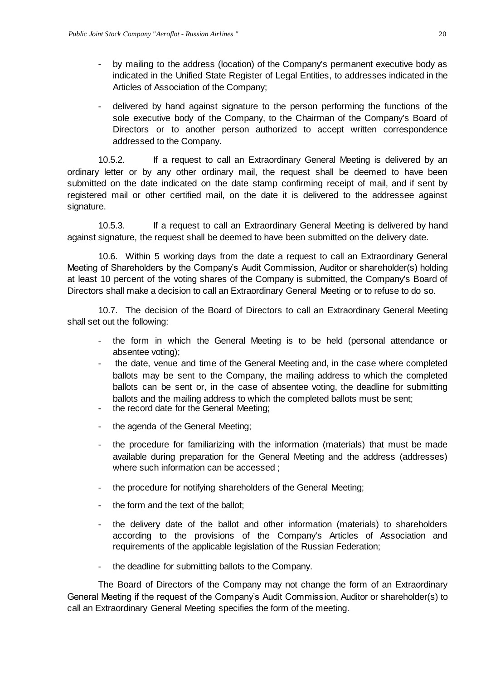- by mailing to the address (location) of the Company's permanent executive body as indicated in the Unified State Register of Legal Entities, to addresses indicated in the Articles of Association of the Company;
- delivered by hand against signature to the person performing the functions of the sole executive body of the Company, to the Chairman of the Company's Board of Directors or to another person authorized to accept written correspondence addressed to the Company.

10.5.2. If a request to call an Extraordinary General Meeting is delivered by an ordinary letter or by any other ordinary mail, the request shall be deemed to have been submitted on the date indicated on the date stamp confirming receipt of mail, and if sent by registered mail or other certified mail, on the date it is delivered to the addressee against signature.

10.5.3. If a request to call an Extraordinary General Meeting is delivered by hand against signature, the request shall be deemed to have been submitted on the delivery date.

10.6. Within 5 working days from the date a request to call an Extraordinary General Meeting of Shareholders by the Company's Audit Commission, Auditor or shareholder(s) holding at least 10 percent of the voting shares of the Company is submitted, the Company's Board of Directors shall make a decision to call an Extraordinary General Meeting or to refuse to do so.

10.7. The decision of the Board of Directors to call an Extraordinary General Meeting shall set out the following:

- the form in which the General Meeting is to be held (personal attendance or absentee voting);
- the date, venue and time of the General Meeting and, in the case where completed ballots may be sent to the Company, the mailing address to which the completed ballots can be sent or, in the case of absentee voting, the deadline for submitting ballots and the mailing address to which the completed ballots must be sent;
- the record date for the General Meeting;
- the agenda of the General Meeting;
- the procedure for familiarizing with the information (materials) that must be made available during preparation for the General Meeting and the address (addresses) where such information can be accessed ;
- the procedure for notifying shareholders of the General Meeting;
- the form and the text of the ballot;
- the delivery date of the ballot and other information (materials) to shareholders according to the provisions of the Company's Articles of Association and requirements of the applicable legislation of the Russian Federation;
- the deadline for submitting ballots to the Company.

The Board of Directors of the Company may not change the form of an Extraordinary General Meeting if the request of the Company's Audit Commission, Auditor or shareholder(s) to call an Extraordinary General Meeting specifies the form of the meeting.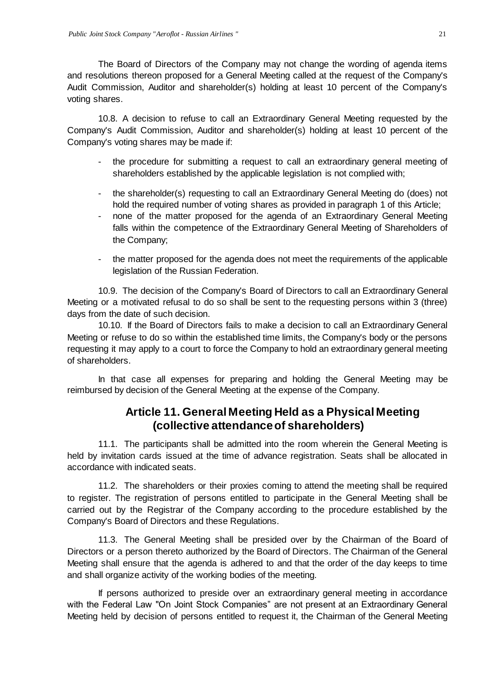The Board of Directors of the Company may not change the wording of agenda items and resolutions thereon proposed for a General Meeting called at the request of the Company's Audit Commission, Auditor and shareholder(s) holding at least 10 percent of the Company's voting shares.

10.8. A decision to refuse to call an Extraordinary General Meeting requested by the Company's Audit Commission, Auditor and shareholder(s) holding at least 10 percent of the Company's voting shares may be made if:

- the procedure for submitting a request to call an extraordinary general meeting of shareholders established by the applicable legislation is not complied with;
- the shareholder(s) requesting to call an Extraordinary General Meeting do (does) not hold the required number of voting shares as provided in paragraph 1 of this Article;
- none of the matter proposed for the agenda of an Extraordinary General Meeting falls within the competence of the Extraordinary General Meeting of Shareholders of the Company;
- the matter proposed for the agenda does not meet the requirements of the applicable legislation of the Russian Federation.

10.9. The decision of the Company's Board of Directors to call an Extraordinary General Meeting or a motivated refusal to do so shall be sent to the requesting persons within 3 (three) days from the date of such decision.

10.10. If the Board of Directors fails to make a decision to call an Extraordinary General Meeting or refuse to do so within the established time limits, the Company's body or the persons requesting it may apply to a court to force the Company to hold an extraordinary general meeting of shareholders.

<span id="page-20-0"></span>In that case all expenses for preparing and holding the General Meeting may be reimbursed by decision of the General Meeting at the expense of the Company.

# **Article 11. General Meeting Held as a Physical Meeting (collective attendance of shareholders)**

11.1. The participants shall be admitted into the room wherein the General Meeting is held by invitation cards issued at the time of advance registration. Seats shall be allocated in accordance with indicated seats.

11.2. The shareholders or their proxies coming to attend the meeting shall be required to register. The registration of persons entitled to participate in the General Meeting shall be carried out by the Registrar of the Company according to the procedure established by the Company's Board of Directors and these Regulations.

11.3. The General Meeting shall be presided over by the Chairman of the Board of Directors or a person thereto authorized by the Board of Directors. The Chairman of the General Meeting shall ensure that the agenda is adhered to and that the order of the day keeps to time and shall organize activity of the working bodies of the meeting.

If persons authorized to preside over an extraordinary general meeting in accordance with the Federal Law "On Joint Stock Companies" are not present at an Extraordinary General Meeting held by decision of persons entitled to request it, the Chairman of the General Meeting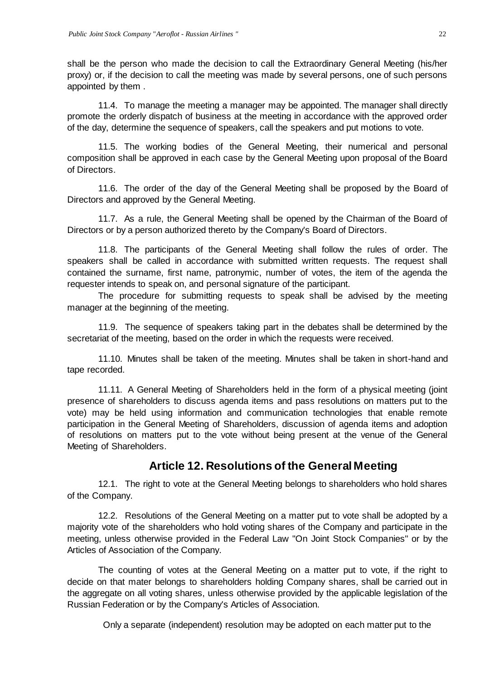shall be the person who made the decision to call the Extraordinary General Meeting (his/her proxy) or, if the decision to call the meeting was made by several persons, one of such persons appointed by them .

11.4. To manage the meeting a manager may be appointed. The manager shall directly promote the orderly dispatch of business at the meeting in accordance with the approved order of the day, determine the sequence of speakers, call the speakers and put motions to vote.

11.5. The working bodies of the General Meeting, their numerical and personal composition shall be approved in each case by the General Meeting upon proposal of the Board of Directors.

11.6. The order of the day of the General Meeting shall be proposed by the Board of Directors and approved by the General Meeting.

11.7. As a rule, the General Meeting shall be opened by the Chairman of the Board of Directors or by a person authorized thereto by the Company's Board of Directors.

11.8. The participants of the General Meeting shall follow the rules of order. The speakers shall be called in accordance with submitted written requests. The request shall contained the surname, first name, patronymic, number of votes, the item of the agenda the requester intends to speak on, and personal signature of the participant.

The procedure for submitting requests to speak shall be advised by the meeting manager at the beginning of the meeting.

11.9. The sequence of speakers taking part in the debates shall be determined by the secretariat of the meeting, based on the order in which the requests were received.

11.10. Minutes shall be taken of the meeting. Minutes shall be taken in short-hand and tape recorded.

11.11. A General Meeting of Shareholders held in the form of a physical meeting (joint presence of shareholders to discuss agenda items and pass resolutions on matters put to the vote) may be held using information and communication technologies that enable remote participation in the General Meeting of Shareholders, discussion of agenda items and adoption of resolutions on matters put to the vote without being present at the venue of the General Meeting of Shareholders.

# **Article 12. Resolutions of the General Meeting**

<span id="page-21-0"></span>12.1. The right to vote at the General Meeting belongs to shareholders who hold shares of the Company.

12.2. Resolutions of the General Meeting on a matter put to vote shall be adopted by a majority vote of the shareholders who hold voting shares of the Company and participate in the meeting, unless otherwise provided in the Federal Law "On Joint Stock Companies" or by the Articles of Association of the Company.

The counting of votes at the General Meeting on a matter put to vote, if the right to decide on that mater belongs to shareholders holding Company shares, shall be carried out in the aggregate on all voting shares, unless otherwise provided by the applicable legislation of the Russian Federation or by the Company's Articles of Association.

Only a separate (independent) resolution may be adopted on each matter put to the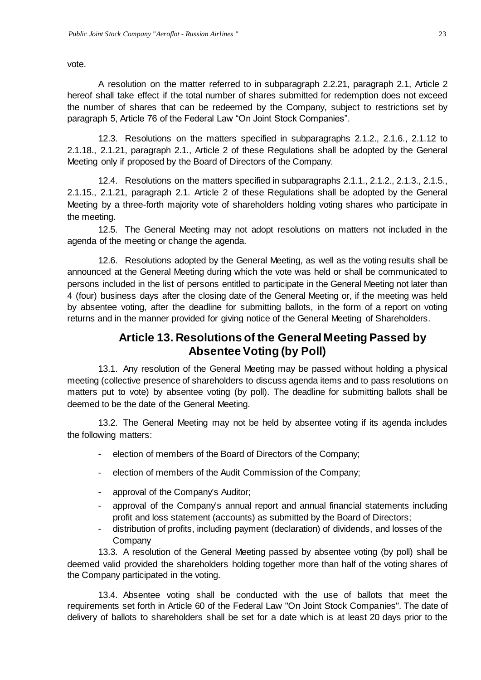vote.

A resolution on the matter referred to in subparagraph 2.2.21, paragraph 2.1, Article 2 hereof shall take effect if the total number of shares submitted for redemption does not exceed the number of shares that can be redeemed by the Company, subject to restrictions set by paragraph 5, Article 76 of the Federal Law "On Joint Stock Companies".

12.3. Resolutions on the matters specified in subparagraphs 2.1.2., 2.1.6., 2.1.12 to 2.1.18., 2.1.21, paragraph 2.1., Article 2 of these Regulations shall be adopted by the General Meeting only if proposed by the Board of Directors of the Company.

12.4. Resolutions on the matters specified in subparagraphs 2.1.1., 2.1.2., 2.1.3., 2.1.5., 2.1.15., 2.1.21, paragraph 2.1. Article 2 of these Regulations shall be adopted by the General Meeting by a three-forth majority vote of shareholders holding voting shares who participate in the meeting.

12.5. The General Meeting may not adopt resolutions on matters not included in the agenda of the meeting or change the agenda.

12.6. Resolutions adopted by the General Meeting, as well as the voting results shall be announced at the General Meeting during which the vote was held or shall be communicated to persons included in the list of persons entitled to participate in the General Meeting not later than 4 (four) business days after the closing date of the General Meeting or, if the meeting was held by absentee voting, after the deadline for submitting ballots, in the form of a report on voting returns and in the manner provided for giving notice of the General Meeting of Shareholders.

# **Article 13. Resolutions of the General Meeting Passed by Absentee Voting (by Poll)**

<span id="page-22-0"></span>13.1. Any resolution of the General Meeting may be passed without holding a physical meeting (collective presence of shareholders to discuss agenda items and to pass resolutions on matters put to vote) by absentee voting (by poll). The deadline for submitting ballots shall be deemed to be the date of the General Meeting.

13.2. The General Meeting may not be held by absentee voting if its agenda includes the following matters:

- election of members of the Board of Directors of the Company;
- election of members of the Audit Commission of the Company;
- approval of the Company's Auditor;
- approval of the Company's annual report and annual financial statements including profit and loss statement (accounts) as submitted by the Board of Directors;
- distribution of profits, including payment (declaration) of dividends, and losses of the **Company**

13.3. A resolution of the General Meeting passed by absentee voting (by poll) shall be deemed valid provided the shareholders holding together more than half of the voting shares of the Company participated in the voting.

13.4. Absentee voting shall be conducted with the use of ballots that meet the requirements set forth in Article 60 of the Federal Law "On Joint Stock Companies". The date of delivery of ballots to shareholders shall be set for a date which is at least 20 days prior to the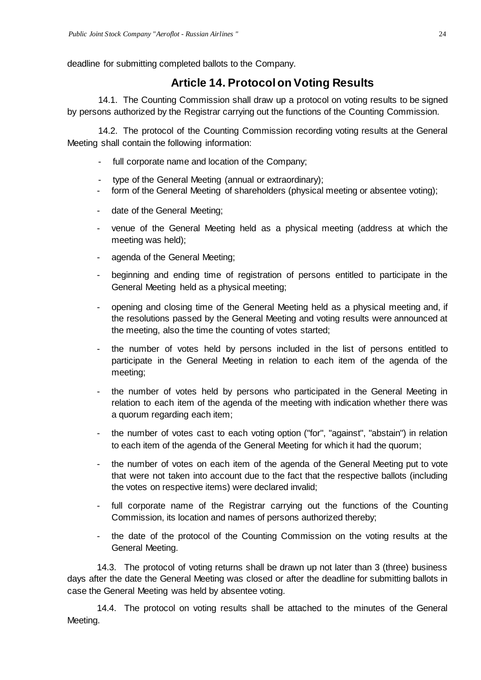<span id="page-23-0"></span>deadline for submitting completed ballots to the Company.

## **Article 14. Protocol on Voting Results**

14.1. The Counting Commission shall draw up a protocol on voting results to be signed by persons authorized by the Registrar carrying out the functions of the Counting Commission.

14.2. The protocol of the Counting Commission recording voting results at the General Meeting shall contain the following information:

- full corporate name and location of the Company;
- type of the General Meeting (annual or extraordinary);
- form of the General Meeting of shareholders (physical meeting or absentee voting);
- date of the General Meeting;
- venue of the General Meeting held as a physical meeting (address at which the meeting was held);
- agenda of the General Meeting;
- beginning and ending time of registration of persons entitled to participate in the General Meeting held as a physical meeting;
- opening and closing time of the General Meeting held as a physical meeting and, if the resolutions passed by the General Meeting and voting results were announced at the meeting, also the time the counting of votes started;
- the number of votes held by persons included in the list of persons entitled to participate in the General Meeting in relation to each item of the agenda of the meeting;
- the number of votes held by persons who participated in the General Meeting in relation to each item of the agenda of the meeting with indication whether there was a quorum regarding each item;
- the number of votes cast to each voting option ("for", "against", "abstain") in relation to each item of the agenda of the General Meeting for which it had the quorum;
- the number of votes on each item of the agenda of the General Meeting put to vote that were not taken into account due to the fact that the respective ballots (including the votes on respective items) were declared invalid;
- full corporate name of the Registrar carrying out the functions of the Counting Commission, its location and names of persons authorized thereby;
- the date of the protocol of the Counting Commission on the voting results at the General Meeting.

14.3. The protocol of voting returns shall be drawn up not later than 3 (three) business days after the date the General Meeting was closed or after the deadline for submitting ballots in case the General Meeting was held by absentee voting.

14.4. The protocol on voting results shall be attached to the minutes of the General Meeting.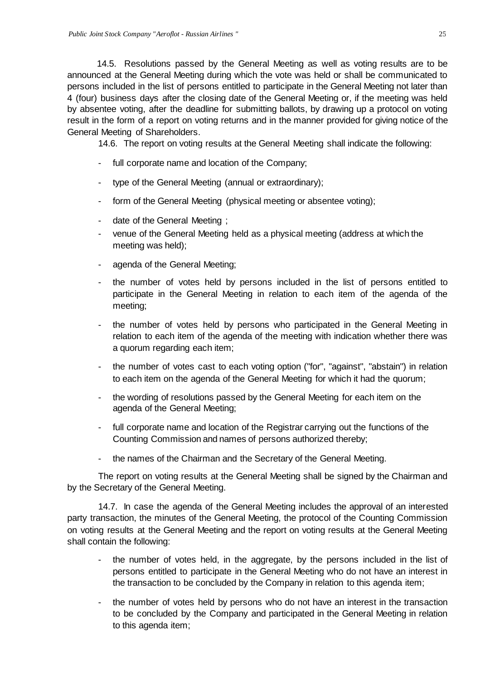14.5. Resolutions passed by the General Meeting as well as voting results are to be announced at the General Meeting during which the vote was held or shall be communicated to persons included in the list of persons entitled to participate in the General Meeting not later than 4 (four) business days after the closing date of the General Meeting or, if the meeting was held by absentee voting, after the deadline for submitting ballots, by drawing up a protocol on voting result in the form of a report on voting returns and in the manner provided for giving notice of the General Meeting of Shareholders.

14.6. The report on voting results at the General Meeting shall indicate the following:

- full corporate name and location of the Company;
- type of the General Meeting (annual or extraordinary);
- form of the General Meeting (physical meeting or absentee voting);
- date of the General Meeting ;
- venue of the General Meeting held as a physical meeting (address at which the meeting was held);
- agenda of the General Meeting;
- the number of votes held by persons included in the list of persons entitled to participate in the General Meeting in relation to each item of the agenda of the meeting;
- the number of votes held by persons who participated in the General Meeting in relation to each item of the agenda of the meeting with indication whether there was a quorum regarding each item;
- the number of votes cast to each voting option ("for", "against", "abstain") in relation to each item on the agenda of the General Meeting for which it had the quorum;
- the wording of resolutions passed by the General Meeting for each item on the agenda of the General Meeting;
- full corporate name and location of the Registrar carrying out the functions of the Counting Commission and names of persons authorized thereby;
- the names of the Chairman and the Secretary of the General Meeting.

The report on voting results at the General Meeting shall be signed by the Chairman and by the Secretary of the General Meeting.

14.7. In case the agenda of the General Meeting includes the approval of an interested party transaction, the minutes of the General Meeting, the protocol of the Counting Commission on voting results at the General Meeting and the report on voting results at the General Meeting shall contain the following:

- the number of votes held, in the aggregate, by the persons included in the list of persons entitled to participate in the General Meeting who do not have an interest in the transaction to be concluded by the Company in relation to this agenda item;
- the number of votes held by persons who do not have an interest in the transaction to be concluded by the Company and participated in the General Meeting in relation to this agenda item;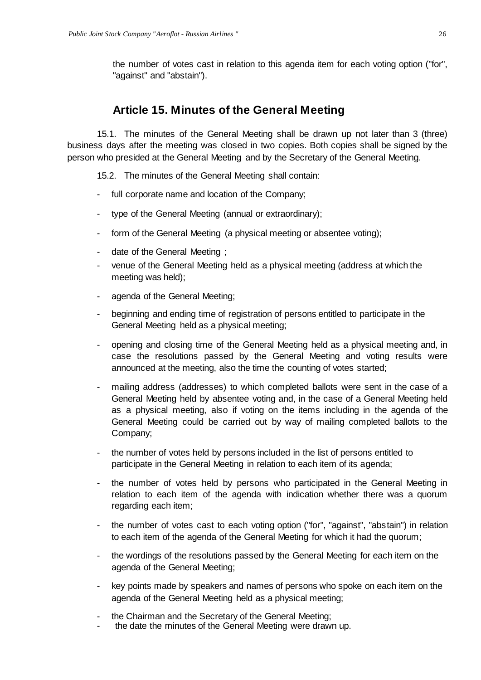<span id="page-25-0"></span>the number of votes cast in relation to this agenda item for each voting option ("for", "against" and "abstain").

#### **Article 15. Minutes of the General Meeting**

15.1. The minutes of the General Meeting shall be drawn up not later than 3 (three) business days after the meeting was closed in two copies. Both copies shall be signed by the person who presided at the General Meeting and by the Secretary of the General Meeting.

15.2. The minutes of the General Meeting shall contain:

- full corporate name and location of the Company;
- type of the General Meeting (annual or extraordinary);
- form of the General Meeting (a physical meeting or absentee voting);
- date of the General Meeting ;
- venue of the General Meeting held as a physical meeting (address at which the meeting was held);
- agenda of the General Meeting;
- beginning and ending time of registration of persons entitled to participate in the General Meeting held as a physical meeting;
- opening and closing time of the General Meeting held as a physical meeting and, in case the resolutions passed by the General Meeting and voting results were announced at the meeting, also the time the counting of votes started;
- mailing address (addresses) to which completed ballots were sent in the case of a General Meeting held by absentee voting and, in the case of a General Meeting held as a physical meeting, also if voting on the items including in the agenda of the General Meeting could be carried out by way of mailing completed ballots to the Company;
- the number of votes held by persons included in the list of persons entitled to participate in the General Meeting in relation to each item of its agenda;
- the number of votes held by persons who participated in the General Meeting in relation to each item of the agenda with indication whether there was a quorum regarding each item;
- the number of votes cast to each voting option ("for", "against", "abstain") in relation to each item of the agenda of the General Meeting for which it had the quorum;
- the wordings of the resolutions passed by the General Meeting for each item on the agenda of the General Meeting;
- key points made by speakers and names of persons who spoke on each item on the agenda of the General Meeting held as a physical meeting;
- the Chairman and the Secretary of the General Meeting;
- the date the minutes of the General Meeting were drawn up.